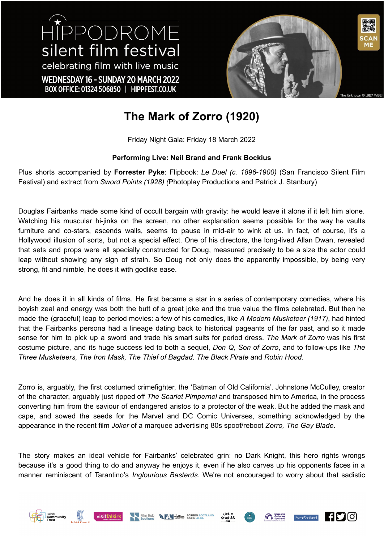HIPPODROME silent film festival celebrating film with live music WEDNESDAY 16 - SUNDAY 20 MARCH 2022 BOX OFFICE: 01324 506850 | HIPPFEST.CO.UK



## **The Mark of Zorro (1920)**

Friday Night Gala: Friday 18 March 2022

## **Performing Live: Neil Brand and Frank Bockius**

Plus shorts accompanied by **Forrester Pyke**: Flipbook: *Le Duel (c. 1896-1900)* (San Francisco Silent Film Festival) and extract from *Sword Points (1928) (*Photoplay Productions and Patrick J. Stanbury)

Douglas Fairbanks made some kind of occult bargain with gravity: he would leave it alone if it left him alone. Watching his muscular hi-jinks on the screen, no other explanation seems possible for the way he vaults furniture and co-stars, ascends walls, seems to pause in mid-air to wink at us. In fact, of course, it's a Hollywood illusion of sorts, but not a special effect. One of his directors, the long-lived Allan Dwan, revealed that sets and props were all specially constructed for Doug, measured precisely to be a size the actor could leap without showing any sign of strain. So Doug not only does the apparently impossible, by being very strong, fit and nimble, he does it with godlike ease.

And he does it in all kinds of films. He first became a star in a series of contemporary comedies, where his boyish zeal and energy was both the butt of a great joke and the true value the films celebrated. But then he made the (graceful) leap to period movies: a few of his comedies, like *A Modern Musketeer (1917)*, had hinted that the Fairbanks persona had a lineage dating back to historical pageants of the far past, and so it made sense for him to pick up a sword and trade his smart suits for period dress. *The Mark of Zorro* was his first costume picture, and its huge success led to both a sequel, *Don Q, Son of Zorro*, and to follow-ups like *The Three Musketeers, The Iron Mask, The Thief of Bagdad, The Black Pirate* and *Robin Hood*.

Zorro is, arguably, the first costumed crimefighter, the 'Batman of Old California'. Johnstone McCulley, creator of the character, arguably just ripped off *The Scarlet Pimpernel* and transposed him to America, in the process converting him from the saviour of endangered aristos to a protector of the weak. But he added the mask and cape, and sowed the seeds for the Marvel and DC Comic Universes, something acknowledged by the appearance in the recent film *Joker* of a marquee advertising 80s spoof/reboot *Zorro, The Gay Blade*.

The story makes an ideal vehicle for Fairbanks' celebrated grin: no Dark Knight, this hero rights wrongs because it's a good thing to do and anyway he enjoys it, even if he also carves up his opponents faces in a manner reminiscent of Tarantino's *Inglourious Basterds*. We're not encouraged to worry about that sadistic











 $\blacksquare$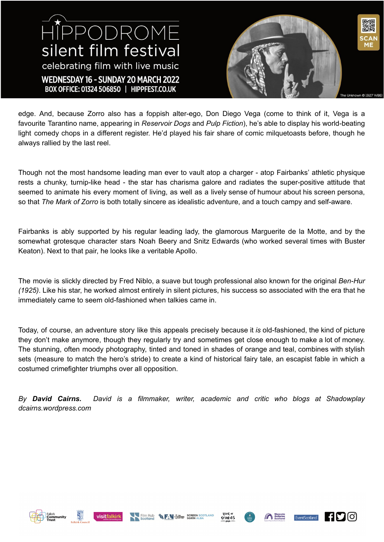HIPPODROME silent film festival celebrating film with live music WEDNESDAY 16 - SUNDAY 20 MARCH 2022 BOX OFFICE: 01324 506850 | HIPPFEST.CO.UK



edge. And, because Zorro also has a foppish alter-ego, Don Diego Vega (come to think of it, Vega is a favourite Tarantino name, appearing in *Reservoir Dogs* and *Pulp Fiction*), he's able to display his world-beating light comedy chops in a different register. He'd played his fair share of comic milquetoasts before, though he always rallied by the last reel.

Though not the most handsome leading man ever to vault atop a charger - atop Fairbanks' athletic physique rests a chunky, turnip-like head - the star has charisma galore and radiates the super-positive attitude that seemed to animate his every moment of living, as well as a lively sense of humour about his screen persona, so that *The Mark of Zorro* is both totally sincere as idealistic adventure, and a touch campy and self-aware.

Fairbanks is ably supported by his regular leading lady, the glamorous Marguerite de la Motte, and by the somewhat grotesque character stars Noah Beery and Snitz Edwards (who worked several times with Buster Keaton). Next to that pair, he looks like a veritable Apollo.

The movie is slickly directed by Fred Niblo, a suave but tough professional also known for the original *Ben-Hur (1925)*. Like his star, he worked almost entirely in silent pictures, his success so associated with the era that he immediately came to seem old-fashioned when talkies came in.

Today, of course, an adventure story like this appeals precisely because it *is* old-fashioned, the kind of picture they don't make anymore, though they regularly try and sometimes get close enough to make a lot of money. The stunning, often moody photography, tinted and toned in shades of orange and teal, combines with stylish sets (measure to match the hero's stride) to create a kind of historical fairy tale, an escapist fable in which a costumed crimefighter triumphs over all opposition.

*By David Cairns. David is a filmmaker, writer, academic and critic who blogs at Shadowplay dcairns.wordpress.com*